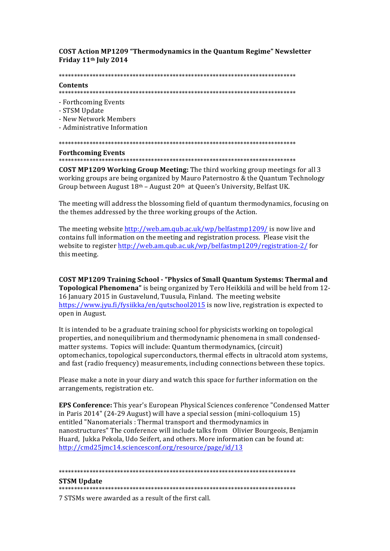**COST Action MP1209 "Thermodynamics in the Quantum Regime" Newsletter** Friday 11<sup>th</sup> July 2014

## Contents

- Forthcoming Events
- STSM Undate
- New Network Members

- Administrative Information

## **Forthcoming Events**

COST MP1209 Working Group Meeting: The third working group meetings for all 3 working groups are being organized by Mauro Paternostro & the Quantum Technology Group between August  $18<sup>th</sup>$  – August  $20<sup>th</sup>$  at Queen's University, Belfast UK.

The meeting will address the blossoming field of quantum thermodynamics, focusing on the themes addressed by the three working groups of the Action.

The meeting website http://web.am.qub.ac.uk/wp/belfastmp1209/ is now live and contains full information on the meeting and registration process. Please visit the website to register http://web.am.qub.ac.uk/wp/belfastmp1209/registration-2/for this meeting.

**COST MP1209 Training School - "Physics of Small Quantum Systems: Thermal and** Topological Phenomena" is being organized by Tero Heikkilä and will be held from 12-16 January 2015 in Gustavelund, Tuusula, Finland. The meeting website https://www.jyu.fi/fysiikka/en/qutschool2015 is now live, registration is expected to open in August.

It is intended to be a graduate training school for physicists working on topological properties, and nonequilibrium and thermodynamic phenomena in small condensedmatter systems. Topics will include: Quantum thermodynamics, (circuit) optomechanics, topological superconductors, thermal effects in ultracold atom systems, and fast (radio frequency) measurements, including connections between these topics.

Please make a note in your diary and watch this space for further information on the arrangements, registration etc.

**EPS Conference:** This year's European Physical Sciences conference "Condensed Matter" in Paris 2014" (24-29 August) will have a special session (mini-colloquium 15) entitled "Nanomaterials: Thermal transport and thermodynamics in nanostructures" The conference will include talks from Olivier Bourgeois, Benjamin Huard, Jukka Pekola, Udo Seifert, and others. More information can be found at: http://cmd25jmc14.sciencesconf.org/resource/page/id/13

# **STSM Update**

#### 

7 STSMs were awarded as a result of the first call.